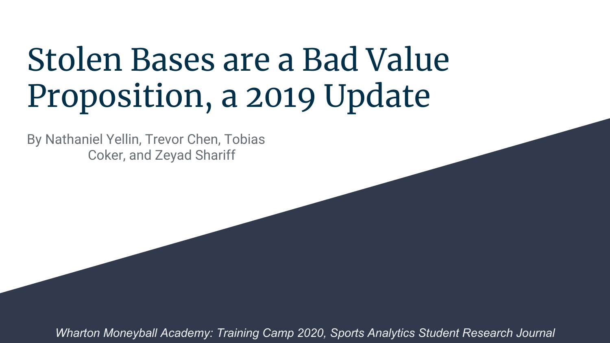# Stolen Bases are a Bad Value Proposition, a 2019 Update

By Nathaniel Yellin, Trevor Chen, Tobias Coker, and Zeyad Shariff

*Wharton Moneyball Academy: Training Camp 2020, Sports Analytics Student Research Journal*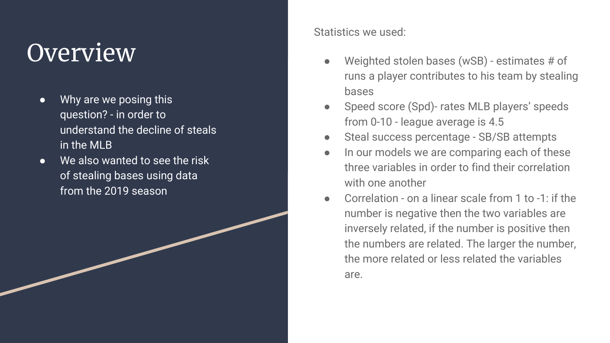## **Overview**

- Why are we posing this question? - in order to understand the decline of steals in the MLB
- We also wanted to see the risk of stealing bases using data from the 2019 season

Statistics we used:

- Weighted stolen bases (wSB) estimates  $#$  of runs a player contributes to his team by stealing bases
- Speed score (Spd)- rates MLB players' speeds from 0-10 - league average is 4.5
- Steal success percentage SB/SB attempts
- In our models we are comparing each of these three variables in order to find their correlation with one another
- Correlation on a linear scale from 1 to -1: if the number is negative then the two variables are inversely related, if the number is positive then the numbers are related. The larger the number, the more related or less related the variables are.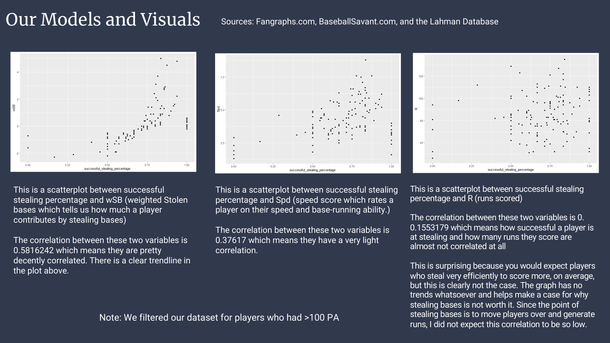### Our Models and Visuals

### Sources: Fangraphs.com, BaseballSavant.com, and the Lahman Database



This is a scatterplot between successful stealing percentage and wSB (weighted Stolen bases which tells us how much a player contributes by stealing bases)

The correlation between these two variables is 0.5816242 which means they are pretty decently correlated. There is a clear trendline in the plot above.



This is a scatterplot between successful stealing percentage and Spd (speed score which rates a player on their speed and base-running ability.)

The correlation between these two variables is 0.37617 which means they have a very light correlation.



This is a scatterplot between successful stealing percentage and R (runs scored)

The correlation between these two variables is 0. 0.1553179 which means how successful a player is at stealing and how many runs they score are almost not correlated at all

This is surprising because you would expect players who steal very efficiently to score more, on average, but this is clearly not the case. The graph has no trends whatsoever and helps make a case for why stealing bases is not worth it. Since the point of stealing bases is to move players over and generate runs, I did not expect this correlation to be so low.

Note: We filtered our dataset for players who had >100 PA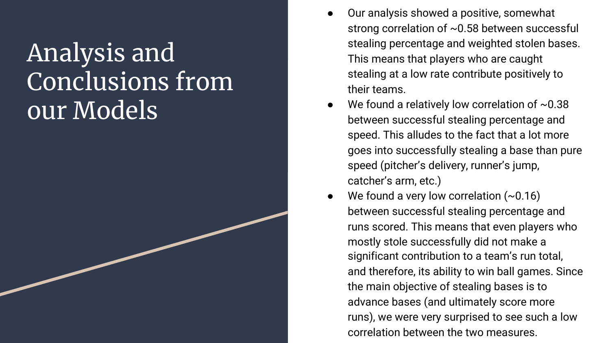## Analysis and Conclusions from our Models

- Our analysis showed a positive, somewhat strong correlation of ~0.58 between successful stealing percentage and weighted stolen bases. This means that players who are caught stealing at a low rate contribute positively to their teams.
- We found a relatively low correlation of  $~0.38$ between successful stealing percentage and speed. This alludes to the fact that a lot more goes into successfully stealing a base than pure speed (pitcher's delivery, runner's jump, catcher's arm, etc.)
- We found a very low correlation  $(\sim 0.16)$ between successful stealing percentage and runs scored. This means that even players who mostly stole successfully did not make a significant contribution to a team's run total, and therefore, its ability to win ball games. Since the main objective of stealing bases is to advance bases (and ultimately score more runs), we were very surprised to see such a low correlation between the two measures.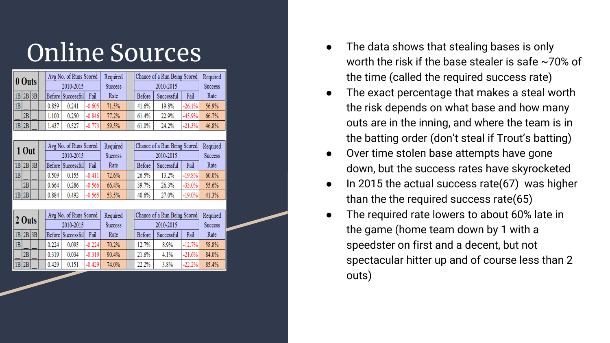| 0 Outs |          |  | Avg No. of Runs Scored<br>2010-2015 |       |                   | Required | Chance of a Run Being Scored<br>2010-2015 |        |            | Required<br><b>Success</b> |                |
|--------|----------|--|-------------------------------------|-------|-------------------|----------|-------------------------------------------|--------|------------|----------------------------|----------------|
|        |          |  |                                     |       |                   |          |                                           |        |            |                            | <b>Success</b> |
|        | 1B 2B 3B |  |                                     |       | Before Successful | Fail     | Rate                                      | Before | Successful | Fail                       | Rate           |
| 1B     |          |  |                                     | 0.859 | 0.241             | $-0.605$ | 71.5%                                     | 41.6%  | 19.8%      | $-26.1%$                   | 56.9%          |
|        | 2B       |  |                                     | 1.100 | 0.250             | $-0.846$ | 77.2%                                     | 61.4%  | 22.9%      | $-45.9%$                   | 66.7%          |
|        | 1B 2B    |  |                                     | 1.437 | 0.527             | $-0.773$ | 59.5%                                     | 61.0%  | 24.2%      | $-21.3%$                   | 46.8%          |

| $10$ ut |          |  |  | Avg No. of Runs Scored<br>2010-2015 |                   |          | Required       |  | Chance of a Run Being Scored | Required       |          |       |
|---------|----------|--|--|-------------------------------------|-------------------|----------|----------------|--|------------------------------|----------------|----------|-------|
|         |          |  |  |                                     |                   |          | <b>Success</b> |  |                              | <b>Success</b> |          |       |
|         | 1B 2B 3B |  |  |                                     | Before Successful | Fail     | Rate           |  | Before                       | Successful     | Fail     | Rate  |
| 1B      |          |  |  | 0.509                               | 0.155             | $-0.411$ | 72.6%          |  | 26.5%                        | 13.2%          | $-19.8%$ | 60.0% |
|         | 2B       |  |  | 0.664                               | 0.286             | $-0.566$ | 66.4%          |  | 39.7%                        | 26.3%          | $-33.0%$ | 55.6% |
|         | 1B 2B    |  |  | 0.884                               | 0.492             | $-0.565$ | 53.5%          |  | 40.6%                        | 27.0%          | $-19.0%$ | 41.3% |

| $ 2 \text{ Outs} $ |            |  | Avg No. of Runs Scored<br>2010-2015 |       |                   | Required |                |  | Chance of a Run Being Scored |            |          |                |
|--------------------|------------|--|-------------------------------------|-------|-------------------|----------|----------------|--|------------------------------|------------|----------|----------------|
|                    |            |  |                                     |       |                   |          | <b>Success</b> |  | 2010-2015                    |            |          | <b>Success</b> |
|                    | $1B$ 2B 3B |  |                                     |       | Before Successful | Fail     | Rate           |  | Before                       | Successful | Fail     | Rate           |
| B                  |            |  |                                     | 0.224 | 0.095             | $-0.224$ | 70.2%          |  | 12.7%                        | 8.9%       | $-12.7%$ | 58.8%          |
|                    | 2B         |  |                                     | 0.319 | 0.034             | $-0.319$ | 90.4%          |  | 21.6%                        | 4.1%       | $-21.6%$ | 84.0%          |
|                    | $1B$  2B   |  |                                     | 0.429 | 0.151             | $-0.429$ | 74.0%          |  | 22.2%                        | 3.8%       | $-22.2%$ | 85.4%          |

- Online Sources<br> **Charling Sources**<br> **Charling Sources**<br> **Conserved Sources**<br> **Conserved Sources**<br> **Conserved Sources**<br> **Conserved Sources**<br> **Conserved Sources**<br> **Conserved Sources**<br> **Conserved Sources** worth the risk if the base stealer is safe  $\sim$ 70% of the time (called the required success rate)
	- The exact percentage that makes a steal worth the risk depends on what base and how many outs are in the inning, and where the team is in the batting order (don't steal if Trout's batting)
	- Over time stolen base attempts have gone down, but the success rates have skyrocketed
	- In 2015 the actual success rate(67) was higher than the the required success rate(65)
	- The required rate lowers to about 60% late in the game (home team down by 1 with a speedster on first and a decent, but not spectacular hitter up and of course less than 2 outs)